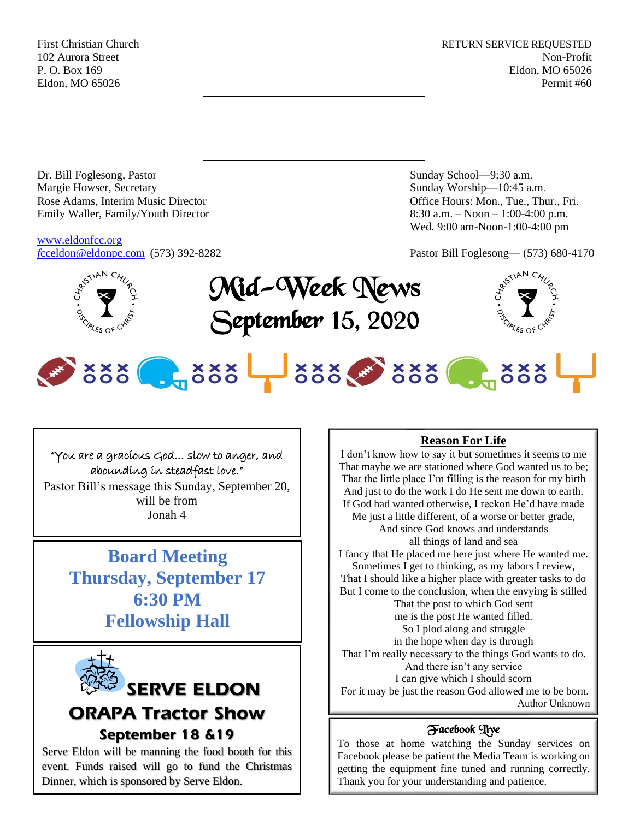First Christian Church **RETURN SERVICE REQUESTED** 102 Aurora Street Non-Profit P. O. Box 169 Eldon, MO 65026 Eldon, MO 65026 Permit #60



Dr. Bill Foglesong, Pastor Sunday School—9:30 a.m. Margie Howser, Secretary Sunday Worship—10:45 a.m. Rose Adams, Interim Music Director **Containers** Controller and Controller Controller Controller Controller and Controller Controller Controller and Controller and Controller and Controller and Controller and Controller and Emily Waller, Family/Youth Director 8:30 a.m. – Noon – 1:00-4:00 p.m.

[www.eldonfcc.org](http://www.eldonfcc.org/)

Wed. 9:00 am-Noon-1:00-4:00 pm

*f*[cceldon@eldonpc.com](mailto:fcceldon@eldonpc.com) (573) 392-8282 Pastor Bill Foglesong— (573) 680-4170



Mid-Week News September 15, 2020



# 888 . 888 388 388 . 888

## "You are a gracious God… slow to anger, and abounding in steadfast love."

Pastor Bill's message this Sunday, September 20, will be from Jonah 4

> **Board Meeting Thursday, September 17 6:30 PM Fellowship Hall**



# **ORAPA Tractor Show September 18 &19**

Serve Eldon will be manning the food booth for this event. Funds raised will go to fund the Christmas Dinner, which is sponsored by Serve Eldon.

# **Reason For Life**

I don't know how to say it but sometimes it seems to me That maybe we are stationed where God wanted us to be; That the little place I'm filling is the reason for my birth And just to do the work I do He sent me down to earth. If God had wanted otherwise, I reckon He'd have made Me just a little different, of a worse or better grade, And since God knows and understands all things of land and sea I fancy that He placed me here just where He wanted me. Sometimes I get to thinking, as my labors I review, That I should like a higher place with greater tasks to do But I come to the conclusion, when the envying is stilled That the post to which God sent me is the post He wanted filled. So I plod along and struggle in the hope when day is through That I'm really necessary to the things God wants to do. And there isn't any service I can give which I should scorn For it may be just the reason God allowed me to be born. Author Unknown

# Facebook Live

To those at home watching the Sunday services on Facebook please be patient the Media Team is working on getting the equipment fine tuned and running correctly. Thank you for your understanding and patience.